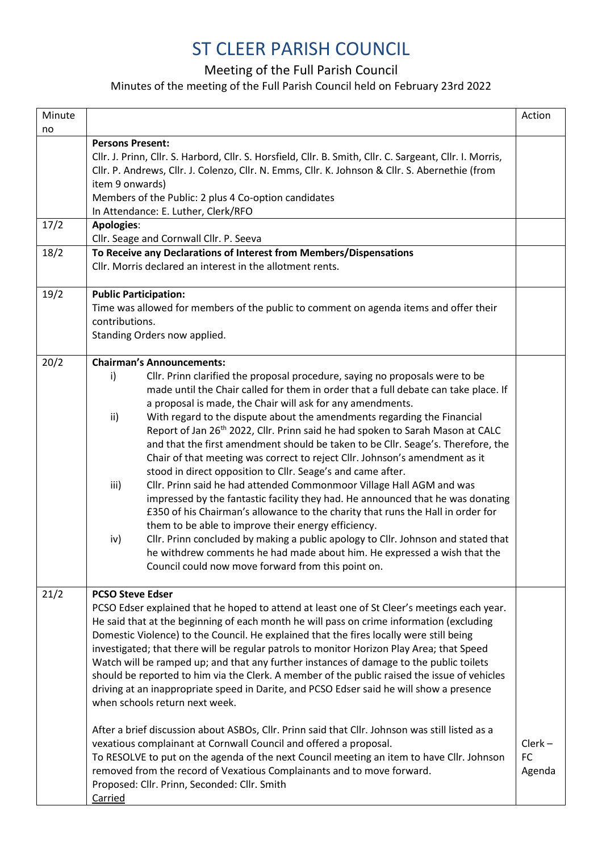## ST CLEER PARISH COUNCIL

Meeting of the Full Parish Council

## Minutes of the meeting of the Full Parish Council held on February 23rd 2022

| Minute             |                                                                                                                                                                                                                                                                                                                                                                                                                                                                                                                                                                                                                                                                                                                                                                                                                                                                                                                                                                                                                                                                                                                                                                                                                                          | Action                           |
|--------------------|------------------------------------------------------------------------------------------------------------------------------------------------------------------------------------------------------------------------------------------------------------------------------------------------------------------------------------------------------------------------------------------------------------------------------------------------------------------------------------------------------------------------------------------------------------------------------------------------------------------------------------------------------------------------------------------------------------------------------------------------------------------------------------------------------------------------------------------------------------------------------------------------------------------------------------------------------------------------------------------------------------------------------------------------------------------------------------------------------------------------------------------------------------------------------------------------------------------------------------------|----------------------------------|
| no<br>17/2<br>18/2 | <b>Persons Present:</b><br>Cllr. J. Prinn, Cllr. S. Harbord, Cllr. S. Horsfield, Cllr. B. Smith, Cllr. C. Sargeant, Cllr. I. Morris,<br>Cllr. P. Andrews, Cllr. J. Colenzo, Cllr. N. Emms, Cllr. K. Johnson & Cllr. S. Abernethie (from<br>item 9 onwards)<br>Members of the Public: 2 plus 4 Co-option candidates<br>In Attendance: E. Luther, Clerk/RFO<br><b>Apologies:</b><br>Cllr. Seage and Cornwall Cllr. P. Seeva<br>To Receive any Declarations of Interest from Members/Dispensations<br>Cllr. Morris declared an interest in the allotment rents.                                                                                                                                                                                                                                                                                                                                                                                                                                                                                                                                                                                                                                                                             |                                  |
| 19/2               | <b>Public Participation:</b><br>Time was allowed for members of the public to comment on agenda items and offer their<br>contributions.<br>Standing Orders now applied.                                                                                                                                                                                                                                                                                                                                                                                                                                                                                                                                                                                                                                                                                                                                                                                                                                                                                                                                                                                                                                                                  |                                  |
| 20/2               | <b>Chairman's Announcements:</b><br>Cllr. Prinn clarified the proposal procedure, saying no proposals were to be<br>i)<br>made until the Chair called for them in order that a full debate can take place. If<br>a proposal is made, the Chair will ask for any amendments.<br>With regard to the dispute about the amendments regarding the Financial<br>ii)<br>Report of Jan 26 <sup>th</sup> 2022, Cllr. Prinn said he had spoken to Sarah Mason at CALC<br>and that the first amendment should be taken to be Cllr. Seage's. Therefore, the<br>Chair of that meeting was correct to reject Cllr. Johnson's amendment as it<br>stood in direct opposition to Cllr. Seage's and came after.<br>Cllr. Prinn said he had attended Commonmoor Village Hall AGM and was<br>iii)<br>impressed by the fantastic facility they had. He announced that he was donating<br>£350 of his Chairman's allowance to the charity that runs the Hall in order for<br>them to be able to improve their energy efficiency.<br>Cllr. Prinn concluded by making a public apology to Cllr. Johnson and stated that<br>iv)<br>he withdrew comments he had made about him. He expressed a wish that the<br>Council could now move forward from this point on. |                                  |
| 21/2               | <b>PCSO Steve Edser</b><br>PCSO Edser explained that he hoped to attend at least one of St Cleer's meetings each year.<br>He said that at the beginning of each month he will pass on crime information (excluding<br>Domestic Violence) to the Council. He explained that the fires locally were still being<br>investigated; that there will be regular patrols to monitor Horizon Play Area; that Speed<br>Watch will be ramped up; and that any further instances of damage to the public toilets<br>should be reported to him via the Clerk. A member of the public raised the issue of vehicles<br>driving at an inappropriate speed in Darite, and PCSO Edser said he will show a presence<br>when schools return next week.<br>After a brief discussion about ASBOs, Cllr. Prinn said that Cllr. Johnson was still listed as a<br>vexatious complainant at Cornwall Council and offered a proposal.<br>To RESOLVE to put on the agenda of the next Council meeting an item to have Cllr. Johnson<br>removed from the record of Vexatious Complainants and to move forward.<br>Proposed: Cllr. Prinn, Seconded: Cllr. Smith<br>Carried                                                                                            | $Clerk -$<br><b>FC</b><br>Agenda |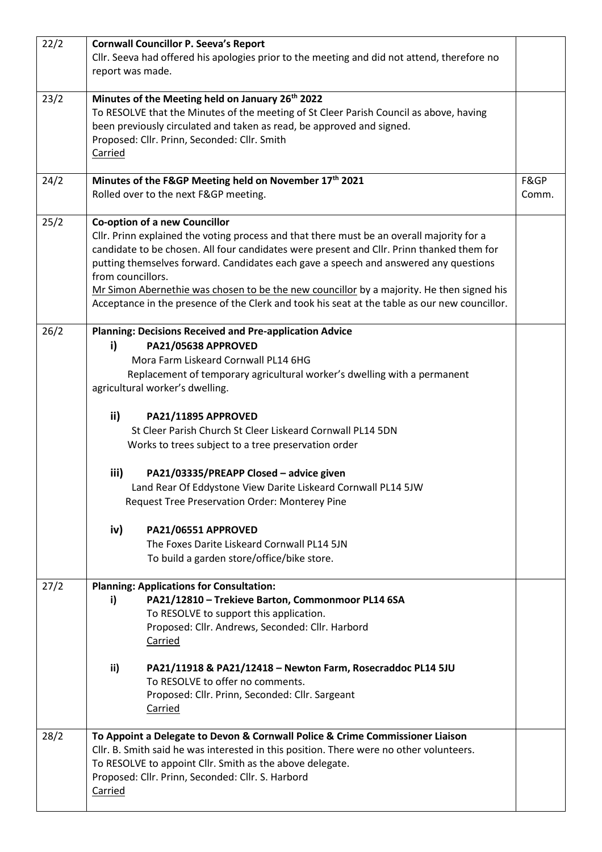| 22/2 | report was made.  | <b>Cornwall Councillor P. Seeva's Report</b><br>CIIr. Seeva had offered his apologies prior to the meeting and did not attend, therefore no                                                                                                                                                                                                                                                                                                                                                                          |               |
|------|-------------------|----------------------------------------------------------------------------------------------------------------------------------------------------------------------------------------------------------------------------------------------------------------------------------------------------------------------------------------------------------------------------------------------------------------------------------------------------------------------------------------------------------------------|---------------|
| 23/2 | Carried           | Minutes of the Meeting held on January 26 <sup>th</sup> 2022<br>To RESOLVE that the Minutes of the meeting of St Cleer Parish Council as above, having<br>been previously circulated and taken as read, be approved and signed.<br>Proposed: Cllr. Prinn, Seconded: Cllr. Smith                                                                                                                                                                                                                                      |               |
| 24/2 |                   | Minutes of the F&GP Meeting held on November 17th 2021<br>Rolled over to the next F&GP meeting.                                                                                                                                                                                                                                                                                                                                                                                                                      | F&GP<br>Comm. |
| 25/2 | from councillors. | <b>Co-option of a new Councillor</b><br>Cllr. Prinn explained the voting process and that there must be an overall majority for a<br>candidate to be chosen. All four candidates were present and Cllr. Prinn thanked them for<br>putting themselves forward. Candidates each gave a speech and answered any questions<br>Mr Simon Abernethie was chosen to be the new councillor by a majority. He then signed his<br>Acceptance in the presence of the Clerk and took his seat at the table as our new councillor. |               |
| 26/2 | i)                | <b>Planning: Decisions Received and Pre-application Advice</b><br>PA21/05638 APPROVED<br>Mora Farm Liskeard Cornwall PL14 6HG<br>Replacement of temporary agricultural worker's dwelling with a permanent<br>agricultural worker's dwelling.                                                                                                                                                                                                                                                                         |               |
|      | ii)               | PA21/11895 APPROVED<br>St Cleer Parish Church St Cleer Liskeard Cornwall PL14 5DN<br>Works to trees subject to a tree preservation order                                                                                                                                                                                                                                                                                                                                                                             |               |
|      | iii)              | PA21/03335/PREAPP Closed - advice given<br>Land Rear Of Eddystone View Darite Liskeard Cornwall PL14 5JW<br>Request Tree Preservation Order: Monterey Pine                                                                                                                                                                                                                                                                                                                                                           |               |
|      | iv)               | PA21/06551 APPROVED<br>The Foxes Darite Liskeard Cornwall PL14 5JN<br>To build a garden store/office/bike store.                                                                                                                                                                                                                                                                                                                                                                                                     |               |
| 27/2 | i)                | <b>Planning: Applications for Consultation:</b><br>PA21/12810 - Trekieve Barton, Commonmoor PL14 6SA<br>To RESOLVE to support this application.<br>Proposed: Cllr. Andrews, Seconded: Cllr. Harbord<br>Carried                                                                                                                                                                                                                                                                                                       |               |
|      | ii)               | PA21/11918 & PA21/12418 - Newton Farm, Rosecraddoc PL14 5JU<br>To RESOLVE to offer no comments.<br>Proposed: Cllr. Prinn, Seconded: Cllr. Sargeant<br>Carried                                                                                                                                                                                                                                                                                                                                                        |               |
| 28/2 | Carried           | To Appoint a Delegate to Devon & Cornwall Police & Crime Commissioner Liaison<br>Cllr. B. Smith said he was interested in this position. There were no other volunteers.<br>To RESOLVE to appoint Cllr. Smith as the above delegate.<br>Proposed: Cllr. Prinn, Seconded: Cllr. S. Harbord                                                                                                                                                                                                                            |               |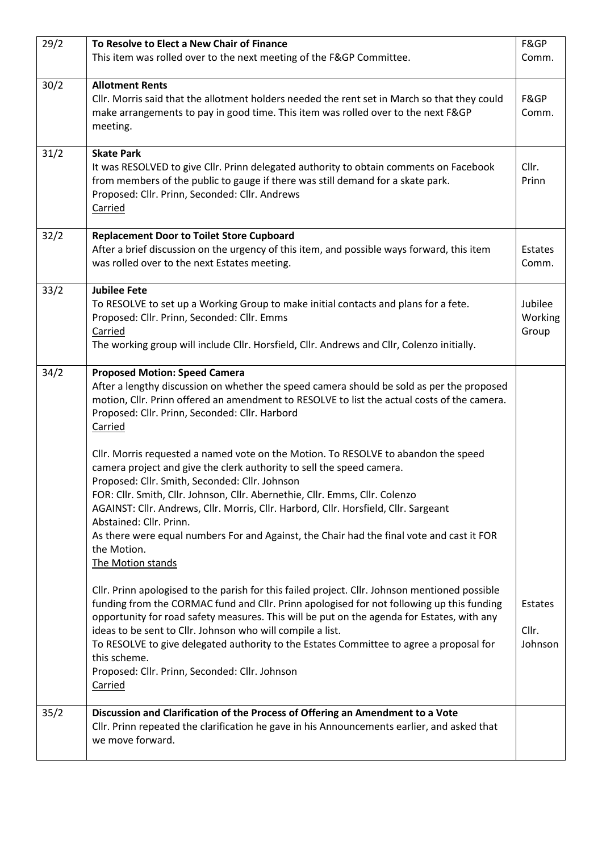| 29/2 | To Resolve to Elect a New Chair of Finance                                                                                                                                                                                                                                                                                                                                                                                                                                                                                                        | F&GP                        |
|------|---------------------------------------------------------------------------------------------------------------------------------------------------------------------------------------------------------------------------------------------------------------------------------------------------------------------------------------------------------------------------------------------------------------------------------------------------------------------------------------------------------------------------------------------------|-----------------------------|
|      | This item was rolled over to the next meeting of the F&GP Committee.                                                                                                                                                                                                                                                                                                                                                                                                                                                                              | Comm.                       |
| 30/2 | <b>Allotment Rents</b><br>Cllr. Morris said that the allotment holders needed the rent set in March so that they could<br>make arrangements to pay in good time. This item was rolled over to the next F&GP<br>meeting.                                                                                                                                                                                                                                                                                                                           | F&GP<br>Comm.               |
| 31/2 | <b>Skate Park</b><br>It was RESOLVED to give Cllr. Prinn delegated authority to obtain comments on Facebook<br>from members of the public to gauge if there was still demand for a skate park.<br>Proposed: Cllr. Prinn, Seconded: Cllr. Andrews<br>Carried                                                                                                                                                                                                                                                                                       | Cllr.<br>Prinn              |
| 32/2 | <b>Replacement Door to Toilet Store Cupboard</b><br>After a brief discussion on the urgency of this item, and possible ways forward, this item<br>was rolled over to the next Estates meeting.                                                                                                                                                                                                                                                                                                                                                    | Estates<br>Comm.            |
| 33/2 | <b>Jubilee Fete</b><br>To RESOLVE to set up a Working Group to make initial contacts and plans for a fete.<br>Proposed: Cllr. Prinn, Seconded: Cllr. Emms<br>Carried<br>The working group will include Cllr. Horsfield, Cllr. Andrews and Cllr, Colenzo initially.                                                                                                                                                                                                                                                                                | Jubilee<br>Working<br>Group |
| 34/2 | <b>Proposed Motion: Speed Camera</b><br>After a lengthy discussion on whether the speed camera should be sold as per the proposed<br>motion, Cllr. Prinn offered an amendment to RESOLVE to list the actual costs of the camera.<br>Proposed: Cllr. Prinn, Seconded: Cllr. Harbord<br>Carried                                                                                                                                                                                                                                                     |                             |
|      | Cllr. Morris requested a named vote on the Motion. To RESOLVE to abandon the speed<br>camera project and give the clerk authority to sell the speed camera.<br>Proposed: Cllr. Smith, Seconded: Cllr. Johnson<br>FOR: Cllr. Smith, Cllr. Johnson, Cllr. Abernethie, Cllr. Emms, Cllr. Colenzo<br>AGAINST: Cllr. Andrews, Cllr. Morris, Cllr. Harbord, Cllr. Horsfield, Cllr. Sargeant<br>Abstained: Cllr. Prinn.<br>As there were equal numbers For and Against, the Chair had the final vote and cast it FOR<br>the Motion.<br>The Motion stands |                             |
|      | Cllr. Prinn apologised to the parish for this failed project. Cllr. Johnson mentioned possible<br>funding from the CORMAC fund and Cllr. Prinn apologised for not following up this funding<br>opportunity for road safety measures. This will be put on the agenda for Estates, with any<br>ideas to be sent to Cllr. Johnson who will compile a list.<br>To RESOLVE to give delegated authority to the Estates Committee to agree a proposal for<br>this scheme.<br>Proposed: Cllr. Prinn, Seconded: Cllr. Johnson<br>Carried                   | Estates<br>Cllr.<br>Johnson |
| 35/2 | Discussion and Clarification of the Process of Offering an Amendment to a Vote<br>Cllr. Prinn repeated the clarification he gave in his Announcements earlier, and asked that<br>we move forward.                                                                                                                                                                                                                                                                                                                                                 |                             |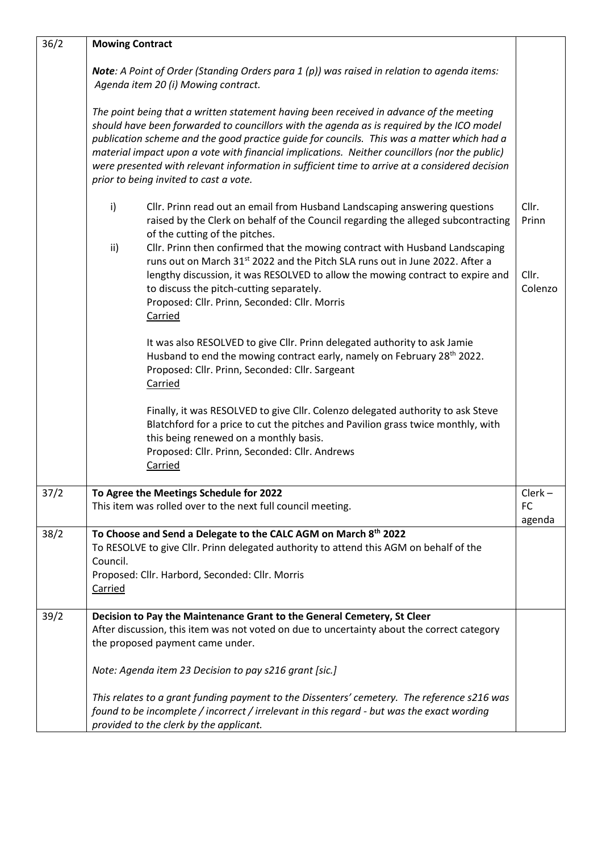| 36/2 | <b>Mowing Contract</b>                                                                                                                                                                                                                                                                                                                                                                                                                                                                                                          |                                  |
|------|---------------------------------------------------------------------------------------------------------------------------------------------------------------------------------------------------------------------------------------------------------------------------------------------------------------------------------------------------------------------------------------------------------------------------------------------------------------------------------------------------------------------------------|----------------------------------|
|      | Note: A Point of Order (Standing Orders para 1 (p)) was raised in relation to agenda items:<br>Agenda item 20 (i) Mowing contract.                                                                                                                                                                                                                                                                                                                                                                                              |                                  |
|      | The point being that a written statement having been received in advance of the meeting<br>should have been forwarded to councillors with the agenda as is required by the ICO model<br>publication scheme and the good practice guide for councils. This was a matter which had a<br>material impact upon a vote with financial implications. Neither councillors (nor the public)<br>were presented with relevant information in sufficient time to arrive at a considered decision<br>prior to being invited to cast a vote. |                                  |
|      | Cllr. Prinn read out an email from Husband Landscaping answering questions<br>i)<br>raised by the Clerk on behalf of the Council regarding the alleged subcontracting<br>of the cutting of the pitches.                                                                                                                                                                                                                                                                                                                         | Cllr.<br>Prinn                   |
|      | ii)<br>Cllr. Prinn then confirmed that the mowing contract with Husband Landscaping<br>runs out on March 31st 2022 and the Pitch SLA runs out in June 2022. After a<br>lengthy discussion, it was RESOLVED to allow the mowing contract to expire and<br>to discuss the pitch-cutting separately.<br>Proposed: Cllr. Prinn, Seconded: Cllr. Morris<br>Carried                                                                                                                                                                   | Cllr.<br>Colenzo                 |
|      | It was also RESOLVED to give Cllr. Prinn delegated authority to ask Jamie<br>Husband to end the mowing contract early, namely on February 28 <sup>th</sup> 2022.<br>Proposed: Cllr. Prinn, Seconded: Cllr. Sargeant<br>Carried                                                                                                                                                                                                                                                                                                  |                                  |
|      | Finally, it was RESOLVED to give Cllr. Colenzo delegated authority to ask Steve<br>Blatchford for a price to cut the pitches and Pavilion grass twice monthly, with<br>this being renewed on a monthly basis.<br>Proposed: Cllr. Prinn, Seconded: Cllr. Andrews<br>Carried                                                                                                                                                                                                                                                      |                                  |
| 37/2 | To Agree the Meetings Schedule for 2022<br>This item was rolled over to the next full council meeting.                                                                                                                                                                                                                                                                                                                                                                                                                          | $Clerk -$<br><b>FC</b><br>agenda |
| 38/2 | To Choose and Send a Delegate to the CALC AGM on March 8th 2022<br>To RESOLVE to give Cllr. Prinn delegated authority to attend this AGM on behalf of the<br>Council.<br>Proposed: Cllr. Harbord, Seconded: Cllr. Morris<br>Carried                                                                                                                                                                                                                                                                                             |                                  |
| 39/2 | Decision to Pay the Maintenance Grant to the General Cemetery, St Cleer<br>After discussion, this item was not voted on due to uncertainty about the correct category<br>the proposed payment came under.                                                                                                                                                                                                                                                                                                                       |                                  |
|      | Note: Agenda item 23 Decision to pay s216 grant [sic.]                                                                                                                                                                                                                                                                                                                                                                                                                                                                          |                                  |
|      | This relates to a grant funding payment to the Dissenters' cemetery. The reference s216 was<br>found to be incomplete / incorrect / irrelevant in this regard - but was the exact wording<br>provided to the clerk by the applicant.                                                                                                                                                                                                                                                                                            |                                  |